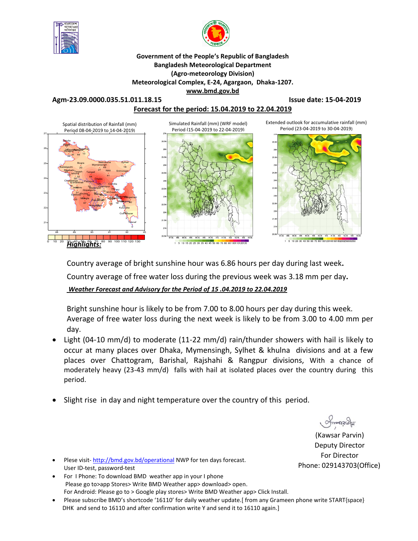



**Government of the People's Republic of Bangladesh Bangladesh Meteorological Department (Agro-meteorology Division) Meteorological Complex, E-24, Agargaon, Dhaka-1207. www.bmd.gov.bd** 

**Agm-23.09.0000.035.51.011.18.15 Issue date: 15-04-2019 Forecast for the period: 15.04.2019 to 22.04.2019**



Country average of bright sunshine hour was 6.86 hours per day during last week**.** Country average of free water loss during the previous week was 3.18 mm per day**.**  *Weather Forecast and Advisory for the Period of 15 .04.2019 to 22.04.2019*

Bright sunshine hour is likely to be from 7.00 to 8.00 hours per day during this week. Average of free water loss during the next week is likely to be from 3.00 to 4.00 mm per day.

- Light (04-10 mm/d) to moderate (11-22 mm/d) rain/thunder showers with hail is likely to occur at many places over Dhaka, Mymensingh, Sylhet & khulna divisions and at a few places over Chattogram, Barishal, Rajshahi & Rangpur divisions, With a chance of moderately heavy (23-43 mm/d) falls with hail at isolated places over the country during this period.
- Slight rise in day and night temperature over the country of this period.

(Kawsar Parvin) Deputy Director For Director Phone: 029143703(Office)

- Plese visit- http://bmd.gov.bd/operational NWP for ten days forecast. User ID-test, password-test
- For I Phone: To download BMD weather app in your I phone Please go to>app Stores> Write BMD Weather app> download> open. For Android: Please go to > Google play stores> Write BMD Weather app> Click Install.
- Please subscribe BMD's shortcode '16110' for daily weather update.[ from any Grameen phone write START{space} DHK and send to 16110 and after confirmation write Y and send it to 16110 again.]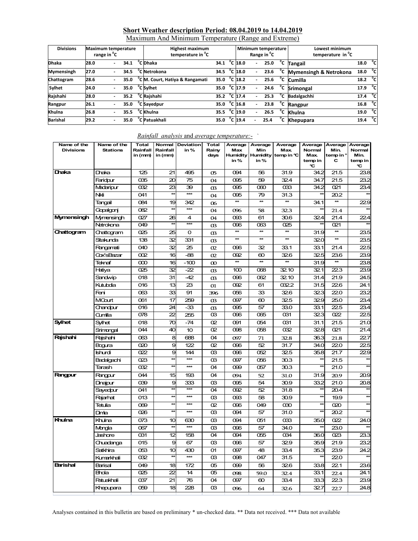### **Short Weather description Period: 08.04.2019 to 14.04.2019**

| Maximum And Minimum Temperature (Range and Extreme) |  |  |
|-----------------------------------------------------|--|--|
|                                                     |  |  |

| <b>Divisions</b>  | <b>Maximum temperature</b><br>range in <sup>o</sup> C |  |      | <b>Highest maximum</b><br>temperature in <sup>o</sup> C |              |  |                           | Range in <sup>"</sup> C  | Minimum temperature |    | Lowest minimum<br>temperature in <sup>°</sup> C |                     |              |
|-------------------|-------------------------------------------------------|--|------|---------------------------------------------------------|--------------|--|---------------------------|--------------------------|---------------------|----|-------------------------------------------------|---------------------|--------------|
| <b>Dhaka</b>      | 28.0                                                  |  | 34.1 | <sup>o</sup> C Dhaka                                    | 34.1         |  | $^{\circ}$ C 18.0         | $\overline{\phantom{0}}$ | 25.0                | °c | <b>Tangail</b>                                  | 18.0 $^{\circ}$ C   |              |
| <b>Mymensingh</b> | 27.0                                                  |  | 34.5 | C Netrokona                                             | 34.5         |  | $^{\circ}$ C 18.0         | $\overline{\phantom{0}}$ | 23.6                | °c | Mymensingh & Netrokona                          | 18.0                | ్            |
| Chattogram        | 28.6                                                  |  | 35.0 | <sup>"</sup> C M. Court, Hatiya & Rangamati             | 35.0         |  | $^{\circ}$ C 18.2         |                          | 25.6                | °c | <b>Cumilla</b>                                  | $18.2\degree$ C     |              |
| Sylhet            | 24.0                                                  |  | 35.0 | <sup>o</sup> C Sylhet                                   | 35.0         |  | $\overline{C}$ 17.9       | $\overline{\phantom{0}}$ | 24.6                | °c | <b>Srimongal</b>                                | 17.9 °C             |              |
| Rajshahi          | 28.0                                                  |  | 35.2 | <sup>o</sup> C Rajshahi                                 | 35.2 °C 17.4 |  |                           |                          | 25.3                | °c | Badalgachhi                                     | 17.4 $^{\circ}$ C   |              |
| Rangpur           | 26.1                                                  |  | 35.0 | C Sayedpur                                              | 35.0         |  | $^{\circ}$ C 16.8         | ٠                        | 23.8                |    | Rangpur                                         | 16.8 $^{\circ}$ C   |              |
| Khulna            | 26.8                                                  |  | 35.5 | <sup>o</sup> C Khulna                                   | 35.5         |  | $\mathrm{^{\circ}$ C 19.0 |                          | 26.5                | °c | Khulna                                          | 19.0 <sup>o</sup> C |              |
| <b>Barishal</b>   | 29.2                                                  |  | 35.0 | °C Patuakhali                                           | 35.0         |  | $^{\circ}$ C 19.4         |                          | 25.4                | °c | <b>Khepupara</b>                                | 19.4                | $^{\circ}$ c |

| Name of the<br><b>Divisions</b> | Name of the<br><b>Stations</b> | <b>Total</b><br>Rainfall<br>in (mm) | Rainfall<br>in (mm) | Normal Deviation<br>in% | <b>Total</b><br>Rainy<br>days | Average<br>Max<br>in% | Average<br>Min<br><b>Humidity Humidity</b><br>in % | Average<br>Max.<br>temp in ℃ | Average<br>Normal<br><b>Max</b><br>temp in<br>C | Average<br>Min.<br>temp in $^{\circ}$<br>С | Average<br>Normal<br>Min.<br>temp in<br>۹С |
|---------------------------------|--------------------------------|-------------------------------------|---------------------|-------------------------|-------------------------------|-----------------------|----------------------------------------------------|------------------------------|-------------------------------------------------|--------------------------------------------|--------------------------------------------|
| Dhaka                           | Draka                          | 125                                 | 21                  | 495                     | 05                            | 094                   | 56                                                 | 31.9                         | 34.2                                            | 21.5                                       | 23.8                                       |
|                                 | Faridpur                       | 035                                 | 20                  | 75                      | 04                            | 095                   | 59                                                 | 32.4                         | 34.7                                            | 21.5                                       | 23.2                                       |
|                                 | Madaripur                      | 032                                 | 23                  | 39                      | <sub>03</sub>                 | 095                   | $\infty$                                           | $\alpha$ 33                  | 34.2                                            | 021                                        | 23.4                                       |
|                                 | Nkli                           | 041                                 | 太太                  | ***                     | 04                            | 095                   | 79                                                 | 31.3                         |                                                 | 20.2                                       |                                            |
|                                 | Tangail                        | 084                                 | 19                  | 342                     | 06                            | $\star\star$          | $\star\star$                                       | $\star\star$                 | 34.1                                            | $\star\star$                               | 22.9                                       |
|                                 | Gopalgonj                      | 082                                 | $\star$             | $***$                   | $\Omega$                      | 096                   | 58                                                 | 32.3                         |                                                 | 21.4                                       |                                            |
| Mymensingh                      | Mymensingh                     | 027                                 | 26                  | 4                       | 04                            | O93                   | 61                                                 | 30.6                         | 324                                             | 21.4                                       | $\overline{224}$                           |
|                                 | Netrokona                      | 049                                 | $\star$             | $***$                   | $\alpha$                      | 096                   | 063                                                | 025                          | $\star$                                         | 021                                        |                                            |
| Chattogram                      | Chattogram                     | 025                                 | 25                  | 0                       | <sub>0</sub> 3                | $\star\star$          | $\star\star$                                       | $\star\star$                 | 31.9                                            | $\star\star$                               | 23.5                                       |
|                                 | Sitakunda                      | 138                                 | 32                  | 331                     | <sub>03</sub>                 | $\overline{\ast}$     | $\star\star$                                       | $**$                         | 320                                             | $\star\star$                               | 23.5                                       |
|                                 | Rangamati                      | 040                                 | 32                  | 25                      | 02                            | 096                   | 32                                                 | 33.1                         | 33.1                                            | 21.4                                       | 225                                        |
|                                 | Cox's Bazar                    | 002                                 | 16                  | $-88$                   | 02                            | 092                   | $\infty$                                           | 326                          | 325                                             | 23.6                                       | 23.9                                       |
|                                 | Teknaf                         | $\infty$                            | 16                  | $-100$                  | $\infty$                      | $\star\star$          | $*$                                                | $*$                          | 31.9                                            | $\star\star$                               | 23.8                                       |
|                                 | Hatiya                         | 025                                 | 32                  | $-22$                   | <sub>03</sub>                 | 100                   | 068                                                | 32.10                        | 321                                             | 223                                        | 23.9                                       |
|                                 | Sandwip                        | 018                                 | 31                  | $-42$                   | <sub>03</sub>                 | 096                   | 062                                                | 32.10                        | 31.4                                            | 21.9                                       | 24.5                                       |
|                                 | Kutubdia                       | 016                                 | 13                  | 23                      | 01                            | 092                   | 61                                                 | 032.2                        | 31.5                                            | 226                                        | 24.1                                       |
|                                 | Feni                           | 063                                 | 33                  | 91                      | 396                           | 056                   | 33                                                 | 32.6                         | 323                                             | 220                                        | 23.2                                       |
|                                 | MCourt                         | 061                                 | 17                  | 259                     | $\alpha$                      | 097                   | 60                                                 | 32.5                         | 329                                             | 25.0                                       | 23.4                                       |
|                                 | Chandpur                       | 016                                 | 24                  | -33                     | <sub>03</sub>                 | 095                   | 57                                                 | 33.0                         | 33.1                                            | 225                                        | 23.4                                       |
|                                 | Qumilla                        | 078                                 | 22                  | 255                     | <b>CG</b>                     | 096                   | 065                                                | 031                          | 323                                             | 022                                        | 22.5                                       |
| <b>Sylhet</b>                   | Sylhet                         | 018                                 | 70                  | $-74$                   | œ.                            | 091                   | 054                                                | 031                          | 31.1                                            | 21.5                                       | 21.0                                       |
|                                 | Shimongal                      | 044                                 | 40                  | 10                      | œ                             | 098                   | 058                                                | 032                          | 328                                             | 021                                        | 21.4                                       |
| Rajshahi                        | Rajshahi                       | 063                                 | 8                   | 688                     | 04                            | 097                   | 71                                                 | 32.8                         | 36.3                                            | 21.8                                       | 22.7                                       |
|                                 | Bogura                         | 020                                 | 9                   | 122                     | œ.                            | 096                   | 52                                                 | 31.7                         | 34.0                                            | 220                                        | 225                                        |
|                                 | Ishurdi                        | 022                                 | 9                   | 144                     | œ                             | 096                   | 052                                                | 32.5                         | 35.8                                            | 21.7                                       | 22.9                                       |
|                                 | Badalqachi                     | Q <sub>23</sub>                     | $\overline{a}$      | $***$                   | <sub>03</sub>                 | 097                   | 056                                                | 30.3                         |                                                 | 21.5                                       | $\left  \cdot \right $                     |
|                                 | Tarash                         | 032                                 | $\star$             | $***$                   | 04                            | 099                   | 057                                                | 30.3                         | $\star\star$                                    | 21.0                                       |                                            |
| Rangpur                         | Rangpur                        | 044                                 | 15                  | 193                     | 04                            | 094                   | 52                                                 | 31.0                         | 31.9                                            | 20.9                                       | 20.9                                       |
|                                 | Dinajpur                       | 039                                 | 9                   | 333                     | œ                             | 095                   | 54                                                 | 30.9                         | 33.2                                            | 21.0                                       | 20.8                                       |
|                                 | Sayedpur                       | 041                                 | $\overline{\ast}$   | ***                     | 04                            | 092                   | 52                                                 | 31.8                         | $\star\star$                                    | 20.4                                       | $\star$                                    |
|                                 | Rajarhat                       | 013                                 | $\star$             | ***                     | <sub>03</sub>                 | O <sub>93</sub>       | 58                                                 | 30.9                         | $\star\star$                                    | 19.9                                       | $*$                                        |
|                                 | Tetulia                        | 069                                 | 夶                   | $***$                   | œ                             | 096                   | 049                                                | 030                          | $\star\star$                                    | 020                                        |                                            |
|                                 | Dimia                          | 026                                 | ŧ                   | $***$                   | <sub>03</sub>                 | 094                   | 57                                                 | 31.0                         | ¥                                               | 20.2                                       |                                            |
| Khulna                          | Khulna                         | 073                                 | 10                  | 630                     | œ                             | 094                   | 051                                                | $\alpha$ 33                  | 35.0                                            | 022                                        | 24.0                                       |
|                                 | Mongla                         | 067                                 | $\star\star$        | $***$                   | œ                             | 096                   | 57                                                 | 34.0                         |                                                 | 23.0                                       |                                            |
|                                 | Jashore                        | 031                                 | 12                  | 158                     | 04                            | 094                   | 055                                                | 034                          | 36.0                                            | 023                                        | 23.3                                       |
|                                 | Chuadanga                      | 015                                 | 9                   | 67                      | <b>CG</b>                     | 096                   | 57                                                 | 329                          | 35.9                                            | 21.9                                       | 23.2                                       |
|                                 | Satkhira                       | 053                                 | 10                  | 430                     | O1                            | 097                   | 48                                                 | 33.4                         | 35.3                                            | 23.9                                       | 24.2                                       |
|                                 | Kumarkhali                     | $\overline{\text{032}}$             | ł                   | $***$                   | $\overline{\alpha}$           | $\overline{098}$      | 047                                                | 31.5                         |                                                 | $\overline{220}$                           |                                            |
| <b>Barishal</b>                 | Barisal                        | 049                                 | 18                  | 172                     | 05                            | 099                   | 56                                                 | 326                          | 33.8                                            | 221                                        | 23.6                                       |
|                                 | <b>Bhda</b>                    | 025                                 | 22                  | 14                      | O <sub>5</sub>                | 098                   | 59.0                                               | 32.4                         | 33.1                                            | 22.4                                       | 24.1                                       |
|                                 | <b>Patuakhali</b>              | 037                                 | 21                  | 76                      | 04                            | 097                   | 60                                                 | 33.4                         | 33.3                                            | 223                                        | 23.9                                       |
|                                 | Khepupara                      | 059                                 | 18                  | 228                     | <b>CG</b>                     | 096                   | 64                                                 | 32.6                         | 327                                             | 22.7                                       | 24.8                                       |

#### *Rainfall analysis* and *average temperature:-* `

Analyses contained in this bulletin are based on preliminary \* un-checked data. \*\* Data not received. \*\*\* Data not available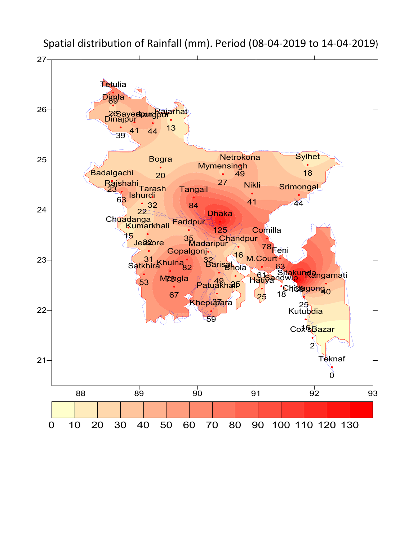

Spatial distribution of Rainfall (mm). Period (08-04-2019 to 14-04-2019)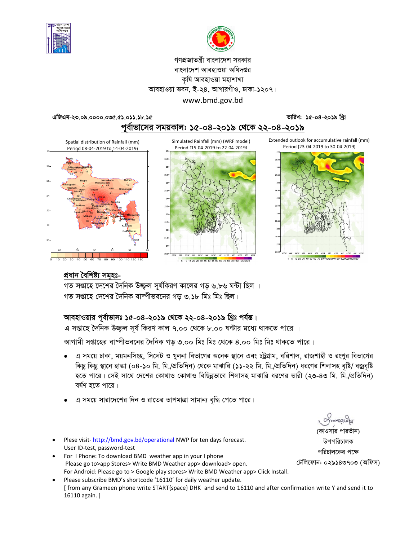



### গণপ্রজাতন্ত্রী বাংলাদেশ সরকার বাংলাদেশ আবহাওয়া অধিদপ্তর কষি আবহাওয়া মহাশাখা আবহাওয়া ভবন, ই-২৪, আগারগাঁও, ঢাকা-১২০৭। www.bmd.gov.bd

তারিখ: ১৫-০৪-২০১৯ খ্রিঃ

এজিএম-২৩.০৯.০০০০.০৩৫.৫১.০১১.১৮.১৫

পূর্বাভাসের সময়কাল: ১৫-০৪-২০১৯ থেকে ২২-০৪-২০১৯

Spatial distribution of Rainfall (mm) Period 08-04-2019 to 14-04-2019)









## প্ৰধান বৈশিষ্ট্য সমূহঃ-

গত সপ্তাহে দেশের দৈনিক উজ্জল সূর্যকিরণ কালের গড় ৬.৮৬ ঘন্টা ছিল । গত সপ্তাহে দেশের দৈনিক বাষ্পীভবনের গড ৩.১৮ মিঃ মিঃ ছিল।

## আবহাওয়ার পূর্বাভাসঃ ১৫-০৪-২০১৯ থেকে ২২-০৪-২০১৯ খ্রিঃ পর্যন্ত।

এ সপ্তাহে দৈনিক উজ্জুল সূর্য কিরণ কাল ৭.০০ থেকে ৮.০০ ঘন্টার মধ্যে থাকতে পারে ।

আগামী সপ্তাহের বাষ্পীভবনের দৈনিক গড় ৩.০০ মিঃ মিঃ থেকে ৪.০০ মিঃ মিঃ থাকতে পারে।

- এ সময়ে ঢাকা, ময়মনসিংহ, সিলেট ও খুলনা বিভাগের অনেক স্থানে এবং চট্টগ্রাম, বরিশাল, রাজশাহী ও রংপুর বিভাগের  $\bullet$ কিছু কিছু স্থানে হাল্কা (০৪-১০ মি. মি./প্রতিদিন) থেকে মাঝারি (১১-২২ মি. মি./প্রতিদিন) ধরণের শিলাসহ বৃষ্টি/ বজ্রবৃষ্টি হতে পারে। সেই সাথে দেশের কোথাও কোথাও বিছিন্নভাবে শিলাসহ মাঝারি ধরণের ভারী (২৩-৪৩ মি. মি./প্রতিদিন) বৰ্ষণ হতে পারে।
- এ সময়ে সারাদেশের দিন ও রাতের তাপমাত্রা সামান্য বৃদ্ধি পেতে পারে।
- Plese visit-http://bmd.gov.bd/operational NWP for ten days forecast. User ID-test, password-test
- For I Phone: To download BMD weather app in your I phone Please go to>app Stores> Write BMD Weather app> download> open. For Android: Please go to > Google play stores> Write BMD Weather app> Click Install.
- Please subscribe BMD's shortcode '16110' for daily weather update. [ from any Grameen phone write START{space} DHK and send to 16110 and after confirmation write Y and send it to 16110 again. ]

(কাওসার পারভীন) উপপরিচালক পরিচালকের পক্ষে

টেলিফোন: ০২৯১৪৩৭০৩ (অফিস)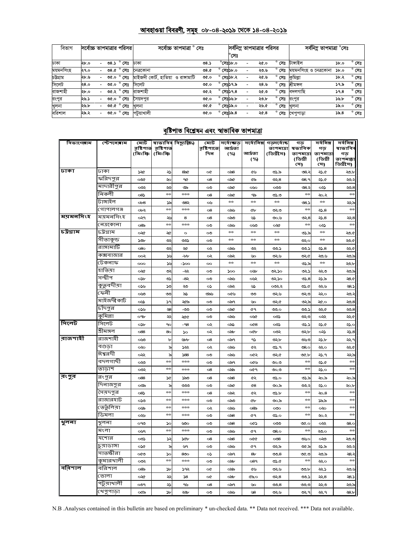# <u> আবহাওয়া বিবরণী, সমূহ ০৮-০৪-২০১৯ থেকে ১৪-০৪-২০১৯</u>

| বিভাগ     | সর্বোচ্চ তাপমাত্রার পরিসর। |                          |      |                                             | সৰ্বোচ্চ তাপমাত্ৰা ° সেঃ           |      |                    |                    |                          | সর্বনিম্ন তাপমাত্রার পরিসর |                | সৰ্বনিম তাপমাত্ৰা °সেঃ |      |                |
|-----------|----------------------------|--------------------------|------|---------------------------------------------|------------------------------------|------|--------------------|--------------------|--------------------------|----------------------------|----------------|------------------------|------|----------------|
|           |                            |                          |      |                                             |                                    |      |                    | °সেঃ               |                          |                            |                |                        |      |                |
| ঢাকা      | ২৮.০                       |                          | ৩৪.১ | ° সেঃ                                       | ঢাকা                               | ৩8.১ |                    | $^{\circ}$ মেঃ১৮.০ |                          | ২৫.০                       | $^{\circ}$ সেঃ | টাঙ্গাইল               | 5b.0 | $^{\circ}$ সেঃ |
| ময়মনসিংহ | ২৭.০                       |                          | 08.0 | $^{\circ}$ সেঃ                              | নেত্ৰকোনা                          | 98.0 |                    | সেঃ১৮.০            |                          | ২৩.৬                       | $^{\circ}$ সেঃ | ময়মনসিংহ ও নেত্ৰকোনা  | ১৮.০ | $^{\circ}$ সেঃ |
| চউগ্ৰাম   | ২৮.৬                       | $-$                      | 0.90 | $^{\circ}$ সেঃ                              | মাইজদী কোর্ট, হাতিয়া ও রাঙ্গামাটি | ৩৫.০ | $^{\circ}$ সেঃ১৮.২ |                    |                          | ২৫.৬                       | $^{\circ}$ সেঃ | কুমিল্লা               | ১৮.২ | $^{\circ}$ সেঃ |
| সিলেট     | ২৪.০                       |                          | ৩৫.০ | $^{\circ}$ সেঃ                              | সিলেট                              | ৩৫.০ | $^{\circ}$ সেঃ১৭.৯ |                    | $\overline{\phantom{0}}$ | ২৪.৬                       | $^{\circ}$ সেঃ | শ্ৰীমঙ্গল              | ১৭.৯ | $^{\circ}$ সেঃ |
| রাজশাহী   | ২৮.০                       |                          |      | ত $\overline{\mathcal{C}}$ .২ $\degree$ সেঃ | রাজশাহী                            | ৩৫.২ | $^{\circ}$ সেঃ১৭.৪ |                    |                          | ২৫.৩                       | $^{\circ}$ সেঃ | বদলগাছি                | 59.8 | $^{\circ}$ সেঃ |
| রংপুর     | ২৬.১                       |                          |      | ৩৫.০ ° সেঃ                                  | সৈয়দপর                            | 0.96 | $\circ$            | সেঃ১৬.৮            |                          | ২৩.৮                       | $^{\circ}$ সেঃ | রংপুর                  | ১৬.৮ | $^{\circ}$ সেঃ |
| খুলনা     | ২৬.৮                       |                          |      | ৩৫.৫ $^{\circ}$ সেঃ                         | খুলনা                              | 9.90 | $\circ$            | সেঃ১৯.০            |                          | ২৬.৫                       | $^{\circ}$ সেঃ | খলনা                   | ১৯.০ | $^{\circ}$ সেঃ |
| বরিশাল    | ২৯.২                       | $\overline{\phantom{0}}$ | ৩৫.০ | $^{\circ}$ সেঃ                              | পটয়াখালী                          | 0.96 | $^{\circ}$ সেঃ১৯.৪ |                    |                          | ২৫.৪                       | $^{\circ}$ সেঃ | খেপুপাড়া              | 55.8 | $^{\circ}$ সেঃ |

## <u>বৃষ্টিপাত বিশ্লেষন এবং স্বাভাবিক তাপমাত্ৰা</u>

| বিভাগেৰাম      | স্টেশনেৰাম  | মোট                 |                      | স্বাভাবিৰ বিছ্যুষ্ঠি⁄) | মোট               | <u> प्रावाडाड़</u> |                | সৰ্বোনিম গড়সৰ্বোচ্চ   | গড                  | সৰ্বনিম্ন      | সৰ্বনিম্ন     |
|----------------|-------------|---------------------|----------------------|------------------------|-------------------|--------------------|----------------|------------------------|---------------------|----------------|---------------|
|                |             | রষ্টিপাত<br>(মিঃমিঃ | র়ষ্টিপাত<br>(মিঃমিঃ |                        | রষ্টিপাতে:<br>দিন | আৰ্দ্ৰতা<br>(%)    | আৰ্দ্ৰতা       | তাপমাত্রা<br>(ডিগ্রীস) | ষভাবিক<br>তাপমাত্রা | গড<br>তাপমাত্র | ষাভাবিব<br>গড |
|                |             |                     |                      |                        |                   |                    | (%)            |                        | (ডিগ্ৰী             | (ডিগ্ৰী        | তাপমাল্লা     |
|                |             |                     |                      |                        |                   |                    |                |                        | সে)                 | সে)            | ডিগ্রীসে)     |
| ∣जका           | ঢাকা        | ১২৫                 | ২১                   | 850                    | œ                 | ಂನಿ8               | ৫৬             | ৩১.৯                   | 08.3                | ২১.৫           | ২৩.৮          |
|                | ফরিদপুর     | ಯೋ                  | ২০                   | ዓ৫                     | $^{o8}$           | ০৯৫                | ৫৯             | ৩২.৪                   | 08.9                | ২১.৫           | ২೦.২          |
|                | মাদারীপুর   | ಯ                   | ২৩                   | ৩৯                     | ು                 | ০৯৫                | ০৬০            | ಯಿ                     | 08.3                | యి             | ২০.৪          |
|                | নিকলী       | 08                  | $*$                  | ***                    | 08                | ০৯৫                | ৭৯             | ৩১.৩                   | $25 - 5$            | ২০.২           | $*$           |
|                | টাঙ্গাইল    | ob8                 | ১৯                   | ৩৪২                    | ০৬                | ricie              | **             | rich                   | 08.5                | $*$            | ২২৯           |
|                | গোপালগঞ্জ   | ০৮২                 | $+$                  | ***                    | 08                | ಂನು                | ¢Ъ             | ಲೂ                     | $+$                 | ২১.৪           | $+1$          |
| ময়মনসিংহ      | ময়মনসিংহ   | ०२१                 | عربي                 | 8                      | $^{o8}$           | ಂನಿ                | ৬১             | ৩০.৬                   | లు, $8$             | ২১.৪           | ২২.৪          |
|                | নেত্ৰকোনা   | ୦୪ର                 | $+ +$                | ***                    | ಲ                 | ಂನು                | ಯಿ             | ০২৫                    | $\frac{1}{2}$       | యి             | $\frac{1}{2}$ |
| ∣চউগ্রাম       | চট্ৰগ্ৰাম   | ০২৫                 | ২৫                   | $\circ$                | ೲ                 | ricie              | $\frac{1}{2}$  | $\frac{1}{2}$          | ৩১.৯                | $\frac{1}{2}$  | ২০৫           |
|                | সীতাকুন্ড   | 50 <sub>0</sub>     | جی                   | ಲು                     | ు                 | $+$                | $*$            | $\frac{1}{2}$          | ಲ್ಲಾಂ               | $+$ $+$        | ২০৫           |
|                | রাঙ্গামাটি  | 080                 | Ş                    | ২৫                     | ∾                 | ಂನು                | چې             | ು                      | ৩೨.১                | ২১.৪           | ২২৫           |
|                | কক্সবাজার   | ೲ                   | ئلا                  | $-bb$                  | ০২                | ০৯২                | Vю             | ৩২৬                    | ৩২৫                 | ২৩.৬           | ২৩.৯          |
|                | টেকনাফ      | 000                 | ئلا                  | -200                   | 00                | $\frac{1}{2}$      | rich           | rkri                   | ৩১.৯                | $\frac{1}{2}$  | <b>20.b</b>   |
|                | হাতিয়া     | ০২৫                 | جی                   | -55                    | ೲ                 | ১০০                | ০৬৮            | ৩২১০                   | دجی                 | ২২৩            | ২৩.৯          |
|                | সন্দ্বীপ    | osb                 | ৩১                   | -8২                    | $\infty$          | ಂನು                | ০৬২            | ৩২১০                   | ৩১.৪                | ২১.৯           | 28.0          |
|                | কুত্তবদীয়া | ০১৬                 | ১৩                   | ২৩                     | ০১                | ಂನ್                | ىك             | ಯಿನಿ                   | ৩১.৫                | ىبرى           | د.8           |
|                | ফেনী        | ಯಿ                  | ು                    | ৯১                     | ಲನ್               | ০৫৬                | ು              | ৩২৬                    | ಲೂ                  | صجج            | ২೨.২          |
|                | মাইজদীকাট   | ০৬১                 | ১৭                   | ২৫৯                    | ು                 | ০৯৭                | ৬০             | ৩২৫                    | ৩২৯                 | ২৫.০           | ২০.৪          |
|                | চাঁদপুর     | ০১৬                 | -28                  | -೨೨                    | ೲ                 | ০৯৫                | ৫٩             | ৩೨.೦                   | ৩೨.১                | ২২৫            | ২০.৪          |
|                | कूषिल्ला    | ০৭৮                 | جج                   | ২৫৫                    | ು                 | ಂನು                | oVê            | యి                     | ಲಲ                  | ૦સ્ર           | ২২৫           |
| ।সিলেট         | সিলেট       | osb                 | 90                   | -98                    | $\sim$            | ంప                 | $\alpha$ 8     | యి                     | ৩১.১                | ২১.৫           | ২১.০          |
|                | শ্ৰীমঙ্গল   | 088                 | 80                   | $\infty$               | $\sim$            | ಂನು                | oCb            | ಯ                      | ৩২.৮                | యి             | ২১.৪          |
| বাজশাহী        | রাজশাহী     | ುಲ                  | Ъ                    | ৬৮৮                    | 08                | ಂಎ੧                | د۹             | ৩২৮                    | ৩৬৩                 | ২১.৮           | ∍چچ           |
|                | বগুডা       | ∞∞                  | ৯                    | ججز                    | $\infty$          | ಂನು                | ৫২             | ৩১.৭                   | $\mathcal{S}$ .0    | ২২০            | ২২.৫          |
|                | ঈশ্বরদী     | యి                  | ৯                    | 588                    | ు                 | ಂನು                | ০৫২            | ৩২৫                    | oc.b                | ২১.৭           | ২২৯           |
|                | বদলগাছী     | ০২৩                 | $+ +$                | $*$                    | ೲ                 | ಾಗಿ                | ০৫৬            | ಅಂ                     | $+$                 | ২১.৫           | $\frac{1}{2}$ |
|                | তাডাশ       | ಯ                   | $+$                  | $****$                 | 08                | ంపా                | ০৫৭            | ಅಂ                     | $+$                 | ২১.০           | $*$           |
| ∣বংপু্ব        | রংপুর       | 088                 | ۵¢                   | ১৯৩                    | 08                | ಂನ8                | ৫২             | ৩১.০                   | ৩১.৯                | ২০.৯           | ২০.৯          |
|                | দিনাজপুর    | ಯ                   | ৯                    | ಲಲ                     | ೲ                 | ০৯৫                | $^{68}$        | ಲಂ.ಎ                   | ಲು ২                | ২১.০           | ২০.৮          |
|                | সৈয়দপুর    | $08\text{ }$        | $\frac{1}{2}$        | ***                    | $^{o8}$           | ಾನಿ                | ৫২             | ৩১.৮                   | $25 - 5$            | $\infty.8$     | $\pm$ $\pm$   |
|                | রাজারহাট    | ುಲ                  | $+1$                 | $****$                 | ು                 | ಂನಿಂ               | ŒЪ             | ು.ಎ                    | $+ +$               | ১৯৯            | $\frac{1}{2}$ |
|                | ভেতুঁলিয়া  | ০৬৯                 | $+2$                 | $*$                    | ∞                 | ಂನು                | ୦ $8$ ଚ        | $\infty$               | $\frac{1}{2}$       | $\infty$       | $\frac{1}{2}$ |
|                | ডিমলা       | ০২৬                 | $+ +$                | $*$                    | ు                 | ಂನಿ8               | ৫٩             | ৩১.০                   | $+ +$               | ২০.২           | $\pm$ $\pm$   |
| $\sqrt{2}$ लवा | খুলনা       | ೧۹೮                 | ১০                   | ৬৩০                    | ೲ                 | ಂನ8                | ০৫১            | ಯಿ                     | O.SO                | جچہ            | ২8.০          |
|                | মংলা        | oyq                 | $**$                 | ***                    | ೲ                 | ಂನು                | ৫৭             | ৩8.০                   | **                  | ২৩.০           | **            |
|                | যশোর        | ಯಿ                  | جز                   | ১৫৮                    | $\circ$ 8         | ಂನಿ                | oaa            | $\infty$ 8             | ৩৬০                 | యి             | ২০৩           |
|                | চুয়াডাঙ্গা | ০১৫                 | ৯                    | ৬৭                     | $\infty$          | ಂನು                | 6Ð             | ৩২৯                    | ৩৫.৯                | ২১.৯           | ২೨.২          |
|                | সাতক্ষীরা   | ೲ                   | ১০                   | 800                    | ০১                | ಾಗಿ                | 8 <sub>b</sub> | ৩೨.৪                   | ৩৫.৩                | ২০.৯           | $-8.5$        |
|                | কুমারখালী   | ಯ                   | $**$                 | ***                    | ೲ                 | ಂನು                | 089            | ৩১.৫                   | $25 - 5$            | ەپچ            | ×             |
| বিবিশাল        | বরিশাল      | ୦୪ର                 | ১৮                   | ১৭২                    | œ                 | ಂಎ                 | ৫৬             | ى چە                   | ಲಾ                  | دجد            | ی وچ          |
|                | ভোলা        | ৹২৫                 | چچ                   | ري                     | œ                 | ಂನು                | ৫৯.০           | ৩২.৪                   | ৩೨.১                | 22,8           | د.8           |
|                | পটুয়াথালী  | ಲ್                  | دد                   | ৭৬                     | $\circ$ 8         | ০৯৭                | ৬০             | 00.8                   | ಅಂ                  | ২২৩            | ২৩.৯          |
|                | খেপুপাড়া   | ০৫৯                 | b                    | ২২৮                    | ು                 | ಂನು                | ৬৪             | ৩২৬                    | ৩২৭                 | ۹              | 28.5          |

N.B .Analyses contained in this bulletin are based on preliminary \* un-checked data. \*\* Data not received. \*\*\* Data not available.